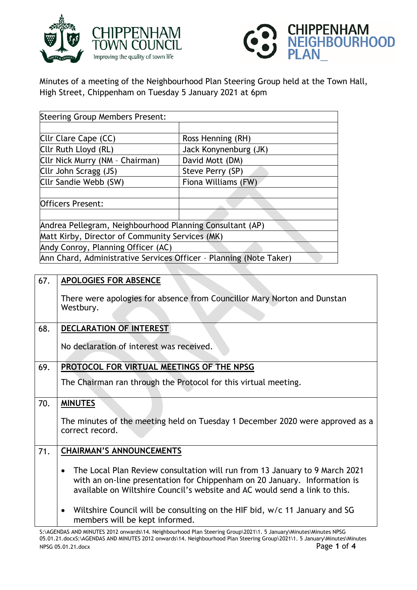



Minutes of a meeting of the Neighbourhood Plan Steering Group held at the Town Hall, High Street, Chippenham on Tuesday 5 January 2021 at 6pm

| <b>Steering Group Members Present:</b>                             |                       |  |
|--------------------------------------------------------------------|-----------------------|--|
|                                                                    |                       |  |
| Cllr Clare Cape (CC)                                               | Ross Henning (RH)     |  |
| Cllr Ruth Lloyd (RL)                                               | Jack Konynenburg (JK) |  |
| Cllr Nick Murry (NM - Chairman)                                    | David Mott (DM)       |  |
| Cllr John Scragg (JS)                                              | Steve Perry (SP)      |  |
| Cllr Sandie Webb (SW)                                              | Fiona Williams (FW)   |  |
|                                                                    |                       |  |
| <b>Officers Present:</b>                                           |                       |  |
|                                                                    |                       |  |
| Andrea Pellegram, Neighbourhood Planning Consultant (AP)           |                       |  |
| Matt Kirby, Director of Community Services (MK)                    |                       |  |
| Andy Conroy, Planning Officer (AC)                                 |                       |  |
| Ann Chard, Administrative Services Officer - Planning (Note Taker) |                       |  |

| 67. | <b>APOLOGIES FOR ABSENCE</b>                                                                                                                                                                                                                        |
|-----|-----------------------------------------------------------------------------------------------------------------------------------------------------------------------------------------------------------------------------------------------------|
|     | There were apologies for absence from Councillor Mary Norton and Dunstan<br>Westbury.                                                                                                                                                               |
| 68. | <b>DECLARATION OF INTEREST</b>                                                                                                                                                                                                                      |
|     | No declaration of interest was received.                                                                                                                                                                                                            |
| 69. | PROTOCOL FOR VIRTUAL MEETINGS OF THE NPSG                                                                                                                                                                                                           |
|     | The Chairman ran through the Protocol for this virtual meeting.                                                                                                                                                                                     |
| 70. | <b>MINUTES</b>                                                                                                                                                                                                                                      |
|     | The minutes of the meeting held on Tuesday 1 December 2020 were approved as a<br>correct record.                                                                                                                                                    |
| 71. | <b>CHAIRMAN'S ANNOUNCEMENTS</b>                                                                                                                                                                                                                     |
|     | The Local Plan Review consultation will run from 13 January to 9 March 2021<br>$\bullet$<br>with an on-line presentation for Chippenham on 20 January. Information is<br>available on Wiltshire Council's website and AC would send a link to this. |
|     | Wiltshire Council will be consulting on the HIF bid, w/c 11 January and SG<br>$\bullet$<br>members will be kept informed.                                                                                                                           |
|     | S:\AGENDAS AND MINUTES 2012 onwards\14. Neighbourhood Plan Steering Group\2021\1. 5 January\Minutes\Minutes NPSG                                                                                                                                    |

S:\AGENDAS AND MINUTES 2012 onwards\14. Neighbourhood Plan Steering Group\2021\1. 5 January\Minutes\Minutes NPSG 05.01.21.docxS:\AGENDAS AND MINUTES 2012 onwards\14. Neighbourhood Plan Steering Group\2021\1. 5 January\Minutes\Minutes NPSG 05.01.21.docx Page **1** of **4**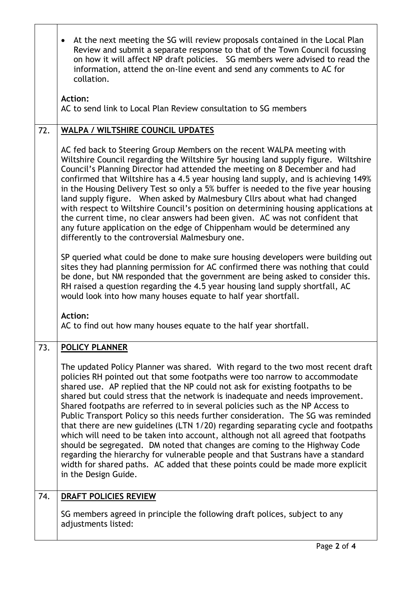|     | At the next meeting the SG will review proposals contained in the Local Plan<br>$\bullet$<br>Review and submit a separate response to that of the Town Council focussing<br>on how it will affect NP draft policies. SG members were advised to read the<br>information, attend the on-line event and send any comments to AC for<br>collation.<br><b>Action:</b><br>AC to send link to Local Plan Review consultation to SG members                                                                                                                                                                                                                                                                                                                                                                                                                                                                                                                     |
|-----|----------------------------------------------------------------------------------------------------------------------------------------------------------------------------------------------------------------------------------------------------------------------------------------------------------------------------------------------------------------------------------------------------------------------------------------------------------------------------------------------------------------------------------------------------------------------------------------------------------------------------------------------------------------------------------------------------------------------------------------------------------------------------------------------------------------------------------------------------------------------------------------------------------------------------------------------------------|
| 72. | <b>WALPA / WILTSHIRE COUNCIL UPDATES</b>                                                                                                                                                                                                                                                                                                                                                                                                                                                                                                                                                                                                                                                                                                                                                                                                                                                                                                                 |
|     | AC fed back to Steering Group Members on the recent WALPA meeting with<br>Wiltshire Council regarding the Wiltshire 5yr housing land supply figure. Wiltshire<br>Council's Planning Director had attended the meeting on 8 December and had<br>confirmed that Wiltshire has a 4.5 year housing land supply, and is achieving 149%<br>in the Housing Delivery Test so only a 5% buffer is needed to the five year housing<br>land supply figure.  When asked by Malmesbury Cllrs about what had changed<br>with respect to Wiltshire Council's position on determining housing applications at<br>the current time, no clear answers had been given. AC was not confident that<br>any future application on the edge of Chippenham would be determined any<br>differently to the controversial Malmesbury one.                                                                                                                                            |
|     | SP queried what could be done to make sure housing developers were building out<br>sites they had planning permission for AC confirmed there was nothing that could<br>be done, but NM responded that the government are being asked to consider this.<br>RH raised a question regarding the 4.5 year housing land supply shortfall, AC<br>would look into how many houses equate to half year shortfall.<br><b>Action:</b><br>AC to find out how many houses equate to the half year shortfall.                                                                                                                                                                                                                                                                                                                                                                                                                                                         |
| 73. | <b>POLICY PLANNER</b>                                                                                                                                                                                                                                                                                                                                                                                                                                                                                                                                                                                                                                                                                                                                                                                                                                                                                                                                    |
|     | The updated Policy Planner was shared. With regard to the two most recent draft<br>policies RH pointed out that some footpaths were too narrow to accommodate<br>shared use. AP replied that the NP could not ask for existing footpaths to be<br>shared but could stress that the network is inadequate and needs improvement.<br>Shared footpaths are referred to in several policies such as the NP Access to<br>Public Transport Policy so this needs further consideration. The SG was reminded<br>that there are new guidelines (LTN 1/20) regarding separating cycle and footpaths<br>which will need to be taken into account, although not all agreed that footpaths<br>should be segregated. DM noted that changes are coming to the Highway Code<br>regarding the hierarchy for vulnerable people and that Sustrans have a standard<br>width for shared paths. AC added that these points could be made more explicit<br>in the Design Guide. |
| 74. | <b>DRAFT POLICIES REVIEW</b>                                                                                                                                                                                                                                                                                                                                                                                                                                                                                                                                                                                                                                                                                                                                                                                                                                                                                                                             |
|     | SG members agreed in principle the following draft polices, subject to any<br>adjustments listed:                                                                                                                                                                                                                                                                                                                                                                                                                                                                                                                                                                                                                                                                                                                                                                                                                                                        |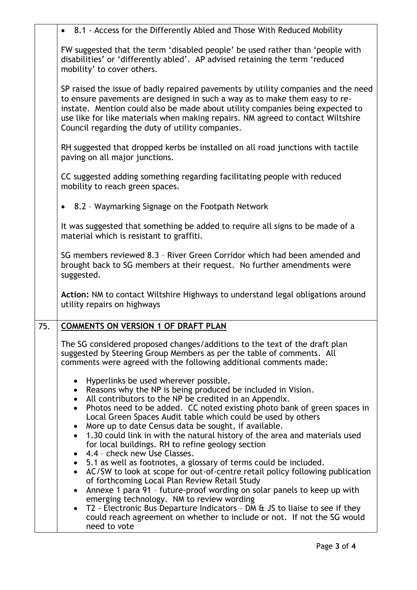|     | • 8.1 - Access for the Differently Abled and Those With Reduced Mobility                                                                                                                                                                                                                                                                                                                |
|-----|-----------------------------------------------------------------------------------------------------------------------------------------------------------------------------------------------------------------------------------------------------------------------------------------------------------------------------------------------------------------------------------------|
|     | FW suggested that the term 'disabled people' be used rather than 'people with<br>disabilities' or 'differently abled'. AP advised retaining the term 'reduced<br>mobility' to cover others.                                                                                                                                                                                             |
|     | SP raised the issue of badly repaired pavements by utility companies and the need<br>to ensure pavements are designed in such a way as to make them easy to re-<br>instate. Mention could also be made about utility companies being expected to<br>use like for like materials when making repairs. NM agreed to contact Wiltshire<br>Council regarding the duty of utility companies. |
|     | RH suggested that dropped kerbs be installed on all road junctions with tactile<br>paving on all major junctions.                                                                                                                                                                                                                                                                       |
|     | CC suggested adding something regarding facilitating people with reduced<br>mobility to reach green spaces.                                                                                                                                                                                                                                                                             |
|     | 8.2 - Waymarking Signage on the Footpath Network                                                                                                                                                                                                                                                                                                                                        |
|     | It was suggested that something be added to require all signs to be made of a<br>material which is resistant to graffiti.                                                                                                                                                                                                                                                               |
|     | SG members reviewed 8.3 - River Green Corridor which had been amended and<br>brought back to SG members at their request. No further amendments were<br>suggested.                                                                                                                                                                                                                      |
|     | Action: NM to contact Wiltshire Highways to understand legal obligations around<br>utility repairs on highways                                                                                                                                                                                                                                                                          |
| 75. | <b>COMMENTS ON VERSION 1 OF DRAFT PLAN</b>                                                                                                                                                                                                                                                                                                                                              |
|     | The SG considered proposed changes/additions to the text of the draft plan<br>suggested by Steering Group Members as per the table of comments. All<br>comments were agreed with the following additional comments made:                                                                                                                                                                |
|     | Hyperlinks be used wherever possible.                                                                                                                                                                                                                                                                                                                                                   |
|     | • Reasons why the NP is being produced be included in Vision.<br>• All contributors to the NP be credited in an Appendix.                                                                                                                                                                                                                                                               |
|     | Photos need to be added. CC noted existing photo bank of green spaces in<br>$\bullet$<br>Local Green Spaces Audit table which could be used by others                                                                                                                                                                                                                                   |
|     | More up to date Census data be sought, if available.<br>• 1.30 could link in with the natural history of the area and materials used                                                                                                                                                                                                                                                    |
|     | for local buildings. RH to refine geology section<br>4.4 - check new Use Classes.                                                                                                                                                                                                                                                                                                       |
|     | • 5.1 as well as footnotes, a glossary of terms could be included.<br>AC/SW to look at scope for out-of-centre retail policy following publication<br>$\bullet$                                                                                                                                                                                                                         |
|     | of forthcoming Local Plan Review Retail Study                                                                                                                                                                                                                                                                                                                                           |
|     | Annexe 1 para 91 - future-proof wording on solar panels to keep up with<br>emerging technology. NM to review wording                                                                                                                                                                                                                                                                    |
|     | T2 - Electronic Bus Departure Indicators - DM $\alpha$ JS to liaise to see if they<br>could reach agreement on whether to include or not. If not the SG would<br>need to vote                                                                                                                                                                                                           |